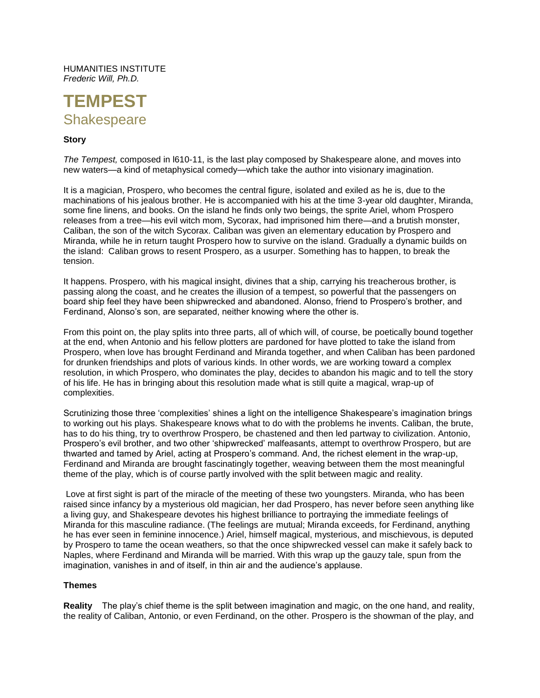HUMANITIES INSTITUTE *Frederic Will, Ph.D.*



## **Story**

*The Tempest,* composed in l610-11, is the last play composed by Shakespeare alone, and moves into new waters—a kind of metaphysical comedy—which take the author into visionary imagination.

It is a magician, Prospero, who becomes the central figure, isolated and exiled as he is, due to the machinations of his jealous brother. He is accompanied with his at the time 3-year old daughter, Miranda, some fine linens, and books. On the island he finds only two beings, the sprite Ariel, whom Prospero releases from a tree—his evil witch mom, Sycorax, had imprisoned him there—and a brutish monster, Caliban, the son of the witch Sycorax. Caliban was given an elementary education by Prospero and Miranda, while he in return taught Prospero how to survive on the island. Gradually a dynamic builds on the island: Caliban grows to resent Prospero, as a usurper. Something has to happen, to break the tension.

It happens. Prospero, with his magical insight, divines that a ship, carrying his treacherous brother, is passing along the coast, and he creates the illusion of a tempest, so powerful that the passengers on board ship feel they have been shipwrecked and abandoned. Alonso, friend to Prospero's brother, and Ferdinand, Alonso's son, are separated, neither knowing where the other is.

From this point on, the play splits into three parts, all of which will, of course, be poetically bound together at the end, when Antonio and his fellow plotters are pardoned for have plotted to take the island from Prospero, when love has brought Ferdinand and Miranda together, and when Caliban has been pardoned for drunken friendships and plots of various kinds. In other words, we are working toward a complex resolution, in which Prospero, who dominates the play, decides to abandon his magic and to tell the story of his life. He has in bringing about this resolution made what is still quite a magical, wrap-up of complexities.

Scrutinizing those three 'complexities' shines a light on the intelligence Shakespeare's imagination brings to working out his plays. Shakespeare knows what to do with the problems he invents. Caliban, the brute, has to do his thing, try to overthrow Prospero, be chastened and then led partway to civilization. Antonio, Prospero's evil brother, and two other 'shipwrecked' malfeasants, attempt to overthrow Prospero, but are thwarted and tamed by Ariel, acting at Prospero's command. And, the richest element in the wrap-up, Ferdinand and Miranda are brought fascinatingly together, weaving between them the most meaningful theme of the play, which is of course partly involved with the split between magic and reality.

Love at first sight is part of the miracle of the meeting of these two youngsters. Miranda, who has been raised since infancy by a mysterious old magician, her dad Prospero, has never before seen anything like a living guy, and Shakespeare devotes his highest brilliance to portraying the immediate feelings of Miranda for this masculine radiance. (The feelings are mutual; Miranda exceeds, for Ferdinand, anything he has ever seen in feminine innocence.) Ariel, himself magical, mysterious, and mischievous, is deputed by Prospero to tame the ocean weathers, so that the once shipwrecked vessel can make it safely back to Naples, where Ferdinand and Miranda will be married. With this wrap up the gauzy tale, spun from the imagination, vanishes in and of itself, in thin air and the audience's applause.

### **Themes**

**Reality** The play's chief theme is the split between imagination and magic, on the one hand, and reality, the reality of Caliban, Antonio, or even Ferdinand, on the other. Prospero is the showman of the play, and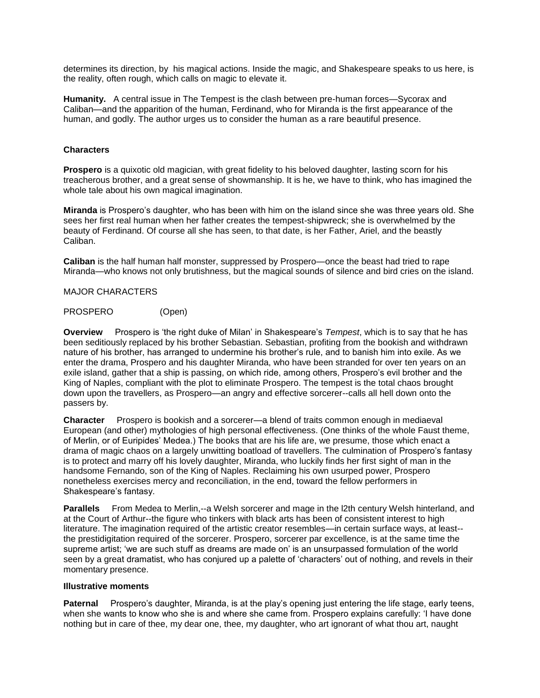determines its direction, by his magical actions. Inside the magic, and Shakespeare speaks to us here, is the reality, often rough, which calls on magic to elevate it.

**Humanity.** A central issue in The Tempest is the clash between pre-human forces—Sycorax and Caliban—and the apparition of the human, Ferdinand, who for Miranda is the first appearance of the human, and godly. The author urges us to consider the human as a rare beautiful presence.

## **Characters**

**Prospero** is a quixotic old magician, with great fidelity to his beloved daughter, lasting scorn for his treacherous brother, and a great sense of showmanship. It is he, we have to think, who has imagined the whole tale about his own magical imagination.

**Miranda** is Prospero's daughter, who has been with him on the island since she was three years old. She sees her first real human when her father creates the tempest-shipwreck; she is overwhelmed by the beauty of Ferdinand. Of course all she has seen, to that date, is her Father, Ariel, and the beastly Caliban.

**Caliban** is the half human half monster, suppressed by Prospero—once the beast had tried to rape Miranda—who knows not only brutishness, but the magical sounds of silence and bird cries on the island.

#### MAJOR CHARACTERS

## PROSPERO (Open)

**Overview** Prospero is 'the right duke of Milan' in Shakespeare's *Tempest*, which is to say that he has been seditiously replaced by his brother Sebastian. Sebastian, profiting from the bookish and withdrawn nature of his brother, has arranged to undermine his brother's rule, and to banish him into exile. As we enter the drama, Prospero and his daughter Miranda, who have been stranded for over ten years on an exile island, gather that a ship is passing, on which ride, among others, Prospero's evil brother and the King of Naples, compliant with the plot to eliminate Prospero. The tempest is the total chaos brought down upon the travellers, as Prospero—an angry and effective sorcerer--calls all hell down onto the passers by.

**Character** Prospero is bookish and a sorcerer—a blend of traits common enough in mediaeval European (and other) mythologies of high personal effectiveness. (One thinks of the whole Faust theme, of Merlin, or of Euripides' Medea.) The books that are his life are, we presume, those which enact a drama of magic chaos on a largely unwitting boatload of travellers. The culmination of Prospero's fantasy is to protect and marry off his lovely daughter, Miranda, who luckily finds her first sight of man in the handsome Fernando, son of the King of Naples. Reclaiming his own usurped power, Prospero nonetheless exercises mercy and reconciliation, in the end, toward the fellow performers in Shakespeare's fantasy.

**Parallels** From Medea to Merlin,--a Welsh sorcerer and mage in the l2th century Welsh hinterland, and at the Court of Arthur--the figure who tinkers with black arts has been of consistent interest to high literature. The imagination required of the artistic creator resembles—in certain surface ways, at least- the prestidigitation required of the sorcerer. Prospero, sorcerer par excellence, is at the same time the supreme artist; 'we are such stuff as dreams are made on' is an unsurpassed formulation of the world seen by a great dramatist, who has conjured up a palette of 'characters' out of nothing, and revels in their momentary presence.

### **Illustrative moments**

**Paternal** Prospero's daughter, Miranda, is at the play's opening just entering the life stage, early teens, when she wants to know who she is and where she came from. Prospero explains carefully: 'I have done nothing but in care of thee, my dear one, thee, my daughter, who art ignorant of what thou art, naught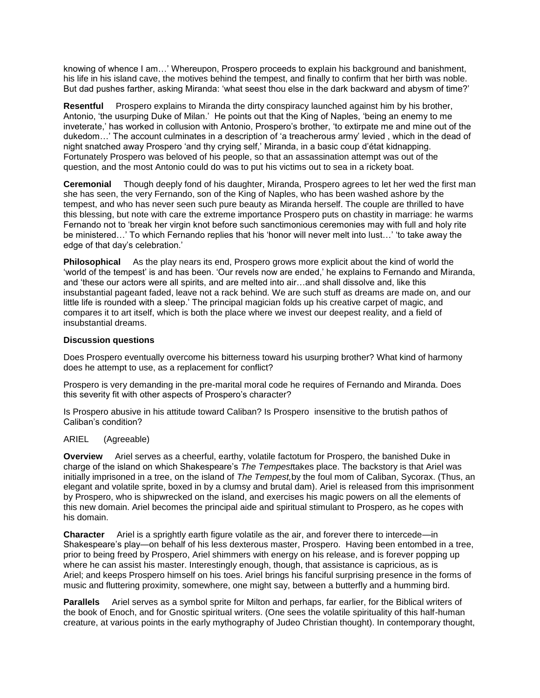knowing of whence I am…' Whereupon, Prospero proceeds to explain his background and banishment, his life in his island cave, the motives behind the tempest, and finally to confirm that her birth was noble. But dad pushes farther, asking Miranda: 'what seest thou else in the dark backward and abysm of time?'

**Resentful** Prospero explains to Miranda the dirty conspiracy launched against him by his brother, Antonio, 'the usurping Duke of Milan.' He points out that the King of Naples, 'being an enemy to me inveterate,' has worked in collusion with Antonio, Prospero's brother, 'to extirpate me and mine out of the dukedom…' The account culminates in a description of 'a treacherous army' levied , which in the dead of night snatched away Prospero 'and thy crying self,' Miranda, in a basic coup d'état kidnapping. Fortunately Prospero was beloved of his people, so that an assassination attempt was out of the question, and the most Antonio could do was to put his victims out to sea in a rickety boat.

**Ceremonial** Though deeply fond of his daughter, Miranda, Prospero agrees to let her wed the first man she has seen, the very Fernando, son of the King of Naples, who has been washed ashore by the tempest, and who has never seen such pure beauty as Miranda herself. The couple are thrilled to have this blessing, but note with care the extreme importance Prospero puts on chastity in marriage: he warms Fernando not to 'break her virgin knot before such sanctimonious ceremonies may with full and holy rite be ministered…' To which Fernando replies that his 'honor will never melt into lust…' 'to take away the edge of that day's celebration.'

**Philosophical** As the play nears its end, Prospero grows more explicit about the kind of world the 'world of the tempest' is and has been. 'Our revels now are ended,' he explains to Fernando and Miranda, and 'these our actors were all spirits, and are melted into air…and shall dissolve and, like this insubstantial pageant faded, leave not a rack behind. We are such stuff as dreams are made on, and our little life is rounded with a sleep.' The principal magician folds up his creative carpet of magic, and compares it to art itself, which is both the place where we invest our deepest reality, and a field of insubstantial dreams.

# **Discussion questions**

Does Prospero eventually overcome his bitterness toward his usurping brother? What kind of harmony does he attempt to use, as a replacement for conflict?

Prospero is very demanding in the pre-marital moral code he requires of Fernando and Miranda. Does this severity fit with other aspects of Prospero's character?

Is Prospero abusive in his attitude toward Caliban? Is Prospero insensitive to the brutish pathos of Caliban's condition?

## ARIEL (Agreeable)

**Overview** Ariel serves as a cheerful, earthy, volatile factotum for Prospero, the banished Duke in charge of the island on which Shakespeare's *The Tempest*takes place. The backstory is that Ariel was initially imprisoned in a tree, on the island of *The Tempest,*by the foul mom of Caliban, Sycorax. (Thus, an elegant and volatile sprite, boxed in by a clumsy and brutal dam). Ariel is released from this imprisonment by Prospero, who is shipwrecked on the island, and exercises his magic powers on all the elements of this new domain. Ariel becomes the principal aide and spiritual stimulant to Prospero, as he copes with his domain.

**Character** Ariel is a sprightly earth figure volatile as the air, and forever there to intercede—in Shakespeare's play—on behalf of his less dexterous master, Prospero. Having been entombed in a tree, prior to being freed by Prospero, Ariel shimmers with energy on his release, and is forever popping up where he can assist his master. Interestingly enough, though, that assistance is capricious, as is Ariel; and keeps Prospero himself on his toes. Ariel brings his fanciful surprising presence in the forms of music and fluttering proximity, somewhere, one might say, between a butterfly and a humming bird.

**Parallels** Ariel serves as a symbol sprite for Milton and perhaps, far earlier, for the Biblical writers of the book of Enoch, and for Gnostic spiritual writers. (One sees the volatile spirituality of this half-human creature, at various points in the early mythography of Judeo Christian thought). In contemporary thought,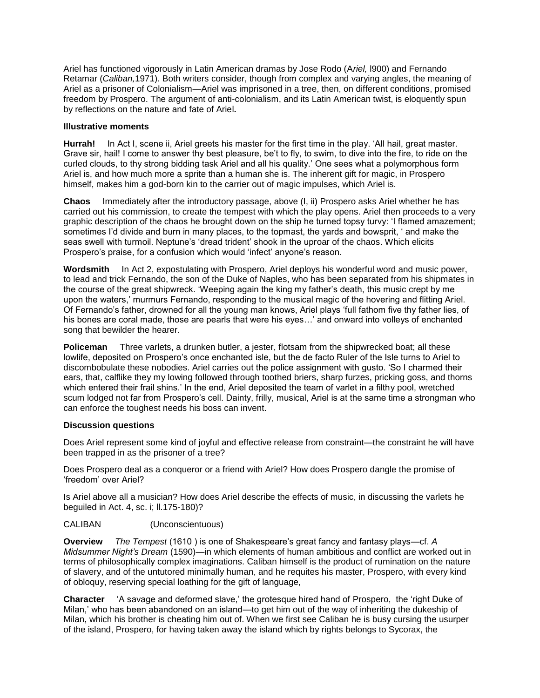Ariel has functioned vigorously in Latin American dramas by Jose Rodo (A*riel,* l900) and Fernando Retamar (*Caliban,*1971). Both writers consider, though from complex and varying angles, the meaning of Ariel as a prisoner of Colonialism—Ariel was imprisoned in a tree, then, on different conditions, promised freedom by Prospero. The argument of anti-colonialism, and its Latin American twist, is eloquently spun by reflections on the nature and fate of Ariel**.**

## **Illustrative moments**

**Hurrah!** In Act I, scene ii, Ariel greets his master for the first time in the play. 'All hail, great master. Grave sir, hail! I come to answer thy best pleasure, be't to fly, to swim, to dive into the fire, to ride on the curled clouds, to thy strong bidding task Ariel and all his quality.' One sees what a polymorphous form Ariel is, and how much more a sprite than a human she is. The inherent gift for magic, in Prospero himself, makes him a god-born kin to the carrier out of magic impulses, which Ariel is.

**Chaos** Immediately after the introductory passage, above (I, ii) Prospero asks Ariel whether he has carried out his commission, to create the tempest with which the play opens. Ariel then proceeds to a very graphic description of the chaos he brought down on the ship he turned topsy turvy: 'I flamed amazement; sometimes I'd divide and burn in many places, to the topmast, the yards and bowsprit, ' and make the seas swell with turmoil. Neptune's 'dread trident' shook in the uproar of the chaos. Which elicits Prospero's praise, for a confusion which would 'infect' anyone's reason.

**Wordsmith** In Act 2, expostulating with Prospero, Ariel deploys his wonderful word and music power, to lead and trick Fernando, the son of the Duke of Naples, who has been separated from his shipmates in the course of the great shipwreck. 'Weeping again the king my father's death, this music crept by me upon the waters,' murmurs Fernando, responding to the musical magic of the hovering and flitting Ariel. Of Fernando's father, drowned for all the young man knows, Ariel plays 'full fathom five thy father lies, of his bones are coral made, those are pearls that were his eyes…' and onward into volleys of enchanted song that bewilder the hearer.

**Policeman** Three varlets, a drunken butler, a jester, flotsam from the shipwrecked boat; all these lowlife, deposited on Prospero's once enchanted isle, but the de facto Ruler of the Isle turns to Ariel to discombobulate these nobodies. Ariel carries out the police assignment with gusto. 'So I charmed their ears, that, calflike they my lowing followed through toothed briers, sharp furzes, pricking goss, and thorns which entered their frail shins.' In the end, Ariel deposited the team of varlet in a filthy pool, wretched scum lodged not far from Prospero's cell. Dainty, frilly, musical, Ariel is at the same time a strongman who can enforce the toughest needs his boss can invent.

# **Discussion questions**

Does Ariel represent some kind of joyful and effective release from constraint—the constraint he will have been trapped in as the prisoner of a tree?

Does Prospero deal as a conqueror or a friend with Ariel? How does Prospero dangle the promise of 'freedom' over Ariel?

Is Ariel above all a musician? How does Ariel describe the effects of music, in discussing the varlets he beguiled in Act. 4, sc. i; ll.175-180)?

# CALIBAN (Unconscientuous)

**Overview** *The Tempest* (1610 ) is one of Shakespeare's great fancy and fantasy plays—cf. *A Midsummer Night's Dream* (1590)—in which elements of human ambitious and conflict are worked out in terms of philosophically complex imaginations. Caliban himself is the product of rumination on the nature of slavery, and of the untutored minimally human, and he requites his master, Prospero, with every kind of obloquy, reserving special loathing for the gift of language,

**Character** 'A savage and deformed slave,' the grotesque hired hand of Prospero, the 'right Duke of Milan,' who has been abandoned on an island—to get him out of the way of inheriting the dukeship of Milan, which his brother is cheating him out of. When we first see Caliban he is busy cursing the usurper of the island, Prospero, for having taken away the island which by rights belongs to Sycorax, the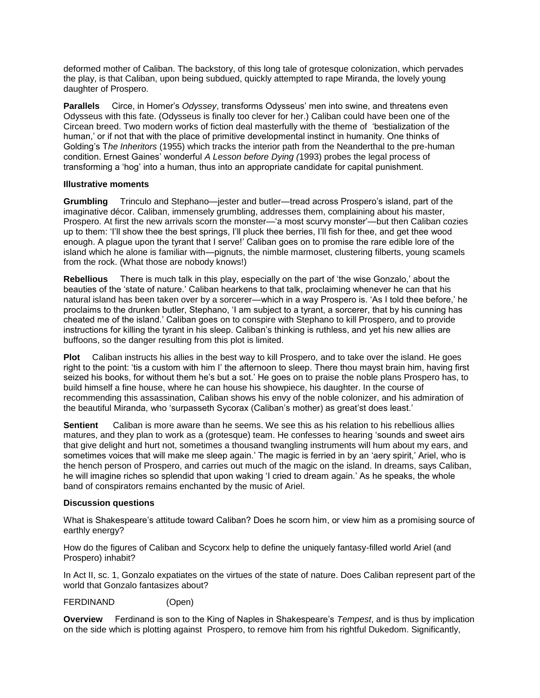deformed mother of Caliban. The backstory, of this long tale of grotesque colonization, which pervades the play, is that Caliban, upon being subdued, quickly attempted to rape Miranda, the lovely young daughter of Prospero.

**Parallels** Circe, in Homer's *Odyssey*, transforms Odysseus' men into swine, and threatens even Odysseus with this fate. (Odysseus is finally too clever for her.) Caliban could have been one of the Circean breed. Two modern works of fiction deal masterfully with the theme of 'bestialization of the human,' or if not that with the place of primitive developmental instinct in humanity. One thinks of Golding's T*he Inheritors* (1955) which tracks the interior path from the Neanderthal to the pre-human condition. Ernest Gaines' wonderful *A Lesson before Dying (*1993) probes the legal process of transforming a 'hog' into a human, thus into an appropriate candidate for capital punishment.

# **Illustrative moments**

**Grumbling** Trinculo and Stephano—jester and butler—tread across Prospero's island, part of the imaginative décor. Caliban, immensely grumbling, addresses them, complaining about his master, Prospero. At first the new arrivals scorn the monster—'a most scurvy monster'—but then Caliban cozies up to them: 'I'll show thee the best springs, I'll pluck thee berries, I'll fish for thee, and get thee wood enough. A plague upon the tyrant that I serve!' Caliban goes on to promise the rare edible lore of the island which he alone is familiar with—pignuts, the nimble marmoset, clustering filberts, young scamels from the rock. (What those are nobody knows!)

**Rebellious** There is much talk in this play, especially on the part of 'the wise Gonzalo,' about the beauties of the 'state of nature.' Caliban hearkens to that talk, proclaiming whenever he can that his natural island has been taken over by a sorcerer—which in a way Prospero is. 'As I told thee before,' he proclaims to the drunken butler, Stephano, 'I am subject to a tyrant, a sorcerer, that by his cunning has cheated me of the island.' Caliban goes on to conspire with Stephano to kill Prospero, and to provide instructions for killing the tyrant in his sleep. Caliban's thinking is ruthless, and yet his new allies are buffoons, so the danger resulting from this plot is limited.

**Plot** Caliban instructs his allies in the best way to kill Prospero, and to take over the island. He goes right to the point: 'tis a custom with him I' the afternoon to sleep. There thou mayst brain him, having first seized his books, for without them he's but a sot.' He goes on to praise the noble plans Prospero has, to build himself a fine house, where he can house his showpiece, his daughter. In the course of recommending this assassination, Caliban shows his envy of the noble colonizer, and his admiration of the beautiful Miranda, who 'surpasseth Sycorax (Caliban's mother) as great'st does least.'

**Sentient** Caliban is more aware than he seems. We see this as his relation to his rebellious allies matures, and they plan to work as a (grotesque) team. He confesses to hearing 'sounds and sweet airs that give delight and hurt not, sometimes a thousand twangling instruments will hum about my ears, and sometimes voices that will make me sleep again.' The magic is ferried in by an 'aery spirit,' Ariel, who is the hench person of Prospero, and carries out much of the magic on the island. In dreams, says Caliban, he will imagine riches so splendid that upon waking 'I cried to dream again.' As he speaks, the whole band of conspirators remains enchanted by the music of Ariel.

## **Discussion questions**

What is Shakespeare's attitude toward Caliban? Does he scorn him, or view him as a promising source of earthly energy?

How do the figures of Caliban and Scycorx help to define the uniquely fantasy-filled world Ariel (and Prospero) inhabit?

In Act II, sc. 1, Gonzalo expatiates on the virtues of the state of nature. Does Caliban represent part of the world that Gonzalo fantasizes about?

# FERDINAND (Open)

**Overview** Ferdinand is son to the King of Naples in Shakespeare's *Tempest*, and is thus by implication on the side which is plotting against Prospero, to remove him from his rightful Dukedom. Significantly,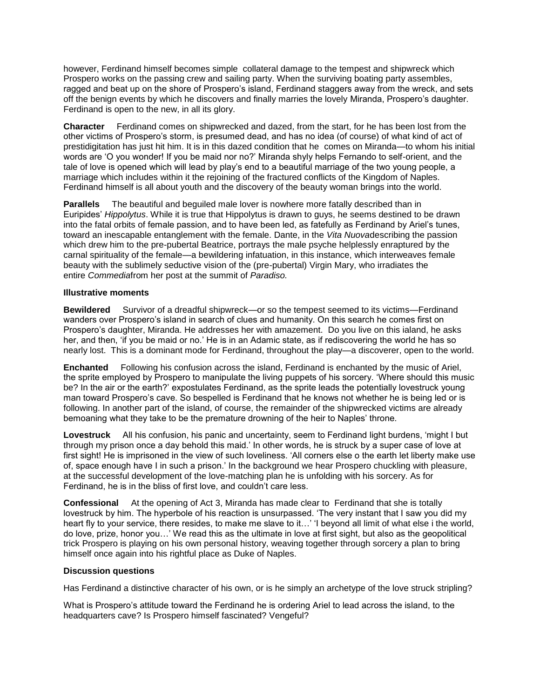however, Ferdinand himself becomes simple collateral damage to the tempest and shipwreck which Prospero works on the passing crew and sailing party. When the surviving boating party assembles, ragged and beat up on the shore of Prospero's island, Ferdinand staggers away from the wreck, and sets off the benign events by which he discovers and finally marries the lovely Miranda, Prospero's daughter. Ferdinand is open to the new, in all its glory.

**Character** Ferdinand comes on shipwrecked and dazed, from the start, for he has been lost from the other victims of Prospero's storm, is presumed dead, and has no idea (of course) of what kind of act of prestidigitation has just hit him. It is in this dazed condition that he comes on Miranda—to whom his initial words are 'O you wonder! If you be maid nor no?' Miranda shyly helps Fernando to self-orient, and the tale of love is opened which will lead by play's end to a beautiful marriage of the two young people, a marriage which includes within it the rejoining of the fractured conflicts of the Kingdom of Naples. Ferdinand himself is all about youth and the discovery of the beauty woman brings into the world.

**Parallels** The beautiful and beguiled male lover is nowhere more fatally described than in Euripides' *Hippolytus*. While it is true that Hippolytus is drawn to guys, he seems destined to be drawn into the fatal orbits of female passion, and to have been led, as fatefully as Ferdinand by Ariel's tunes, toward an inescapable entanglement with the female. Dante, in the *Vita Nuova*describing the passion which drew him to the pre-pubertal Beatrice, portrays the male psyche helplessly enraptured by the carnal spirituality of the female—a bewildering infatuation, in this instance, which interweaves female beauty with the sublimely seductive vision of the (pre-pubertal) Virgin Mary, who irradiates the entire *Commedia*from her post at the summit of *Paradiso.*

## **Illustrative moments**

**Bewildered** Survivor of a dreadful shipwreck—or so the tempest seemed to its victims—Ferdinand wanders over Prospero's island in search of clues and humanity. On this search he comes first on Prospero's daughter, Miranda. He addresses her with amazement. Do you live on this ialand, he asks her, and then, 'if you be maid or no.' He is in an Adamic state, as if rediscovering the world he has so nearly lost. This is a dominant mode for Ferdinand, throughout the play—a discoverer, open to the world.

**Enchanted** Following his confusion across the island, Ferdinand is enchanted by the music of Ariel, the sprite employed by Prospero to manipulate the living puppets of his sorcery. 'Where should this music be? In the air or the earth?' expostulates Ferdinand, as the sprite leads the potentially lovestruck young man toward Prospero's cave. So bespelled is Ferdinand that he knows not whether he is being led or is following. In another part of the island, of course, the remainder of the shipwrecked victims are already bemoaning what they take to be the premature drowning of the heir to Naples' throne.

**Lovestruck** All his confusion, his panic and uncertainty, seem to Ferdinand light burdens, 'might I but through my prison once a day behold this maid.' In other words, he is struck by a super case of love at first sight! He is imprisoned in the view of such loveliness. 'All corners else o the earth let liberty make use of, space enough have I in such a prison.' In the background we hear Prospero chuckling with pleasure, at the successful development of the love-matching plan he is unfolding with his sorcery. As for Ferdinand, he is in the bliss of first love, and couldn't care less.

**Confessional** At the opening of Act 3, Miranda has made clear to Ferdinand that she is totally lovestruck by him. The hyperbole of his reaction is unsurpassed. 'The very instant that I saw you did my heart fly to your service, there resides, to make me slave to it…' 'I beyond all limit of what else i the world, do love, prize, honor you…' We read this as the ultimate in love at first sight, but also as the geopolitical trick Prospero is playing on his own personal history, weaving together through sorcery a plan to bring himself once again into his rightful place as Duke of Naples.

## **Discussion questions**

Has Ferdinand a distinctive character of his own, or is he simply an archetype of the love struck stripling?

What is Prospero's attitude toward the Ferdinand he is ordering Ariel to lead across the island, to the headquarters cave? Is Prospero himself fascinated? Vengeful?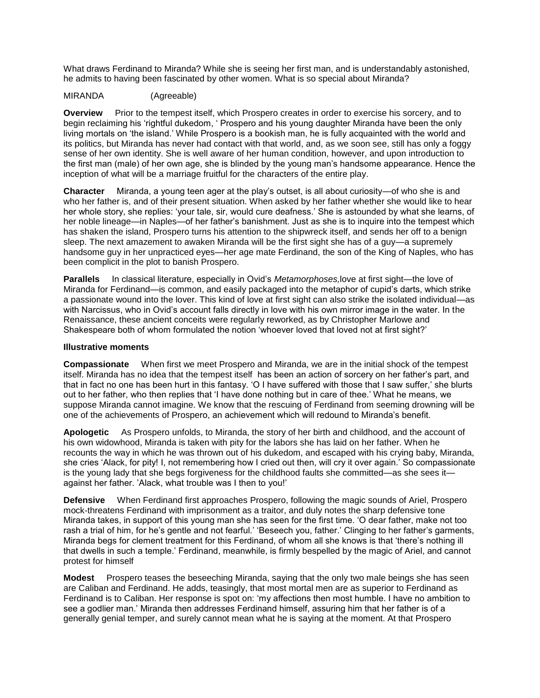What draws Ferdinand to Miranda? While she is seeing her first man, and is understandably astonished, he admits to having been fascinated by other women. What is so special about Miranda?

## MIRANDA (Agreeable)

**Overview** Prior to the tempest itself, which Prospero creates in order to exercise his sorcery, and to begin reclaiming his 'rightful dukedom, ' Prospero and his young daughter Miranda have been the only living mortals on 'the island.' While Prospero is a bookish man, he is fully acquainted with the world and its politics, but Miranda has never had contact with that world, and, as we soon see, still has only a foggy sense of her own identity. She is well aware of her human condition, however, and upon introduction to the first man (male) of her own age, she is blinded by the young man's handsome appearance. Hence the inception of what will be a marriage fruitful for the characters of the entire play.

**Character** Miranda, a young teen ager at the play's outset, is all about curiosity—of who she is and who her father is, and of their present situation. When asked by her father whether she would like to hear her whole story, she replies: 'your tale, sir, would cure deafness.' She is astounded by what she learns, of her noble lineage—in Naples—of her father's banishment. Just as she is to inquire into the tempest which has shaken the island, Prospero turns his attention to the shipwreck itself, and sends her off to a benign sleep. The next amazement to awaken Miranda will be the first sight she has of a guy—a supremely handsome guy in her unpracticed eyes—her age mate Ferdinand, the son of the King of Naples, who has been complicit in the plot to banish Prospero.

**Parallels** In classical literature, especially in Ovid's *Metamorphoses,*love at first sight—the love of Miranda for Ferdinand—is common, and easily packaged into the metaphor of cupid's darts, which strike a passionate wound into the lover. This kind of love at first sight can also strike the isolated individual—as with Narcissus, who in Ovid's account falls directly in love with his own mirror image in the water. In the Renaissance, these ancient conceits were regularly reworked, as by Christopher Marlowe and Shakespeare both of whom formulated the notion 'whoever loved that loved not at first sight?'

### **Illustrative moments**

**Compassionate** When first we meet Prospero and Miranda, we are in the initial shock of the tempest itself. Miranda has no idea that the tempest itself has been an action of sorcery on her father's part, and that in fact no one has been hurt in this fantasy. 'O I have suffered with those that I saw suffer,' she blurts out to her father, who then replies that 'I have done nothing but in care of thee.' What he means, we suppose Miranda cannot imagine. We know that the rescuing of Ferdinand from seeming drowning will be one of the achievements of Prospero, an achievement which will redound to Miranda's benefit.

**Apologetic** As Prospero unfolds, to Miranda, the story of her birth and childhood, and the account of his own widowhood, Miranda is taken with pity for the labors she has laid on her father. When he recounts the way in which he was thrown out of his dukedom, and escaped with his crying baby, Miranda, she cries 'Alack, for pity! I, not remembering how I cried out then, will cry it over again.' So compassionate is the young lady that she begs forgiveness for the childhood faults she committed—as she sees it against her father. 'Alack, what trouble was I then to you!'

**Defensive** When Ferdinand first approaches Prospero, following the magic sounds of Ariel, Prospero mock-threatens Ferdinand with imprisonment as a traitor, and duly notes the sharp defensive tone Miranda takes, in support of this young man she has seen for the first time. 'O dear father, make not too rash a trial of him, for he's gentle and not fearful.' 'Beseech you, father.' Clinging to her father's garments, Miranda begs for clement treatment for this Ferdinand, of whom all she knows is that 'there's nothing ill that dwells in such a temple.' Ferdinand, meanwhile, is firmly bespelled by the magic of Ariel, and cannot protest for himself

**Modest** Prospero teases the beseeching Miranda, saying that the only two male beings she has seen are Caliban and Ferdinand. He adds, teasingly, that most mortal men are as superior to Ferdinand as Ferdinand is to Caliban. Her response is spot on: 'my affections then most humble. I have no ambition to see a godlier man.' Miranda then addresses Ferdinand himself, assuring him that her father is of a generally genial temper, and surely cannot mean what he is saying at the moment. At that Prospero